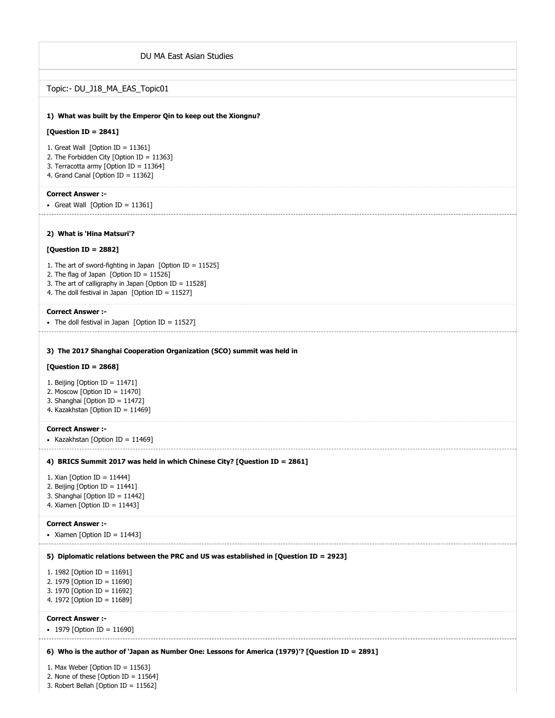| DU MA East Asian Studies                                                                                                                                                                                                   |
|----------------------------------------------------------------------------------------------------------------------------------------------------------------------------------------------------------------------------|
|                                                                                                                                                                                                                            |
| Topic:- DU_J18_MA_EAS_Topic01                                                                                                                                                                                              |
| 1) What was built by the Emperor Qin to keep out the Xiongnu?                                                                                                                                                              |
| [Question ID = $2841$ ]                                                                                                                                                                                                    |
| 1. Great Wall [Option ID = $11361$ ]<br>2. The Forbidden City [Option ID = 11363]<br>3. Terracotta army [Option ID = $11364$ ]<br>4. Grand Canal [Option ID = 11362]                                                       |
| <b>Correct Answer:-</b><br>• Great Wall [Option ID = 11361]                                                                                                                                                                |
| 2) What is 'Hina Matsuri'?                                                                                                                                                                                                 |
| [Question ID = 2882]                                                                                                                                                                                                       |
| 1. The art of sword-fighting in Japan [Option ID = $11525$ ]<br>2. The flag of Japan [Option ID = $11526$ ]<br>3. The art of calligraphy in Japan [Option ID = 11528]<br>4. The doll festival in Japan [Option ID = 11527] |
| <b>Correct Answer:-</b><br>• The doll festival in Japan [Option ID = 11527]                                                                                                                                                |
| 3) The 2017 Shanghai Cooperation Organization (SCO) summit was held in                                                                                                                                                     |
| [Question ID = $2868$ ]                                                                                                                                                                                                    |
| 1. Beijing [Option ID = $11471$ ]<br>2. Moscow [Option ID = $11470$ ]<br>3. Shanghai [Option ID = 11472]<br>4. Kazakhstan [Option ID = 11469]                                                                              |
| <b>Correct Answer:-</b><br>• Kazakhstan [Option ID = 11469]                                                                                                                                                                |
| 4) BRICS Summit 2017 was held in which Chinese City? [Question ID = 2861]                                                                                                                                                  |
| 1. Xian [Option ID = 11444]<br>2. Beijing [Option ID = $11441$ ]<br>3. Shanghai [Option ID = 11442]<br>4. Xiamen [Option ID = $11443$ ]                                                                                    |
| <b>Correct Answer:-</b><br>• Xiamen [Option ID = 11443]                                                                                                                                                                    |
| 5) Diplomatic relations between the PRC and US was established in [Question ID = 2923]                                                                                                                                     |
| 1. 1982 [Option ID = 11691]<br>2. 1979 [Option ID = 11690]<br>3. 1970 [Option ID = 11692]<br>4. 1972 [Option ID = 11689]                                                                                                   |
| <b>Correct Answer :-</b><br>• 1979 [Option ID = 11690]                                                                                                                                                                     |
| 6) Who is the author of `Japan as Number One: Lessons for America (1979)'? [Question ID = 2891]                                                                                                                            |
| 1. Max Weber [Option ID = $11563$ ]<br>2. None of these [Option ID = $11564$ ]                                                                                                                                             |

3. Robert Bellah [Option ID = 11562]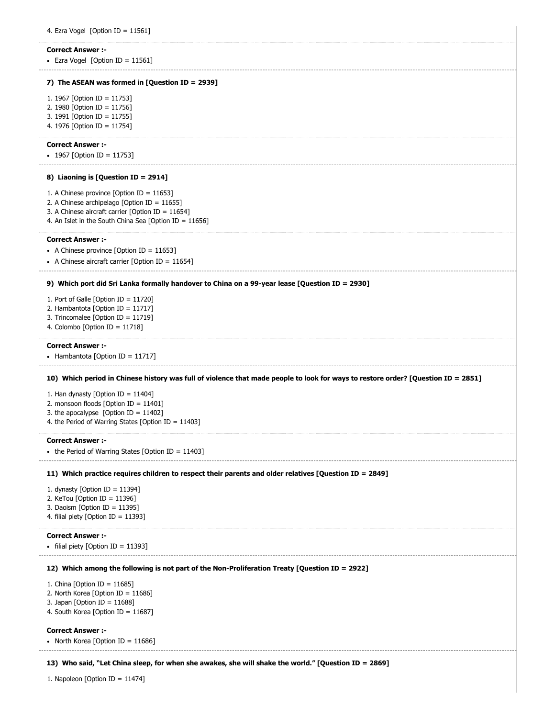**7) The ASEAN was formed in [Question ID = 2939] 8) Liaoning is [Question ID = 2914] 9) Which port did Sri Lanka formally handover to China on a 99-year lease [Question ID = 2930] 10) Which period in Chinese history was full of violence that made people to look for ways to restore order? [Question ID = 2851] 11) Which practice requires children to respect their parents and older relatives [Question ID = 2849] 12) Which among the following is not part of the Non-Proliferation Treaty [Question ID = 2922] 13) Who said, "Let China sleep, for when she awakes, she will shake the world." [Question ID = 2869]** 4. Ezra Vogel [Option ID = 11561] **Correct Answer :-** • Ezra Vogel [Option ID =  $11561$ ] 1. 1967 [Option ID = 11753] 2. 1980 [Option ID = 11756] 3. 1991 [Option ID = 11755] 4. 1976 [Option ID = 11754] **Correct Answer :-**  $\cdot$  1967 [Option ID = 11753] 1. A Chinese province [Option ID = 11653] 2. A Chinese archipelago [Option ID = 11655] 3. A Chinese aircraft carrier [Option ID = 11654] 4. An Islet in the South China Sea [Option ID = 11656] **Correct Answer :-** • A Chinese province [Option ID =  $11653$ ] • A Chinese aircraft carrier  $[Option ID = 11654]$ 1. Port of Galle [Option ID = 11720] 2. Hambantota [Option ID = 11717] 3. Trincomalee [Option ID = 11719] 4. Colombo [Option ID = 11718] **Correct Answer :-** - Hambantota [Option ID =  $11717$ ] 1. Han dynasty [Option ID = 11404] 2. monsoon floods [Option ID = 11401] 3. the apocalypse [Option ID = 11402] 4. the Period of Warring States [Option ID = 11403] **Correct Answer :-** • the Period of Warring States [Option ID =  $11403$ ] 1. dynasty [Option ID = 11394] 2. KeTou [Option ID = 11396] 3. Daoism [Option ID = 11395] 4. filial piety [Option ID = 11393] **Correct Answer :-** • filial piety  $[Option ID = 11393]$ 1. China [Option ID = 11685] 2. North Korea [Option ID = 11686] 3. Japan [Option ID = 11688] 4. South Korea [Option ID = 11687] **Correct Answer :-** • North Korea [Option ID =  $11686$ ] 1. Napoleon [Option ID = 11474]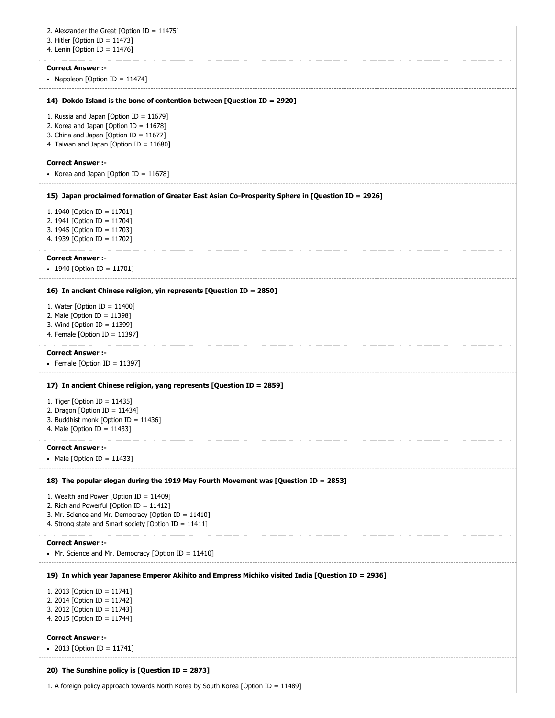| 2. Alexzander the Great [Option ID = $11475$ ]<br>3. Hitler [Option ID = $11473$ ]<br>4. Lenin [Option ID = $11476$ ] |
|-----------------------------------------------------------------------------------------------------------------------|
| <b>Correct Answer :-</b>                                                                                              |
| • Napoleon [Option ID = 11474]                                                                                        |
| 14) Dokdo Island is the bone of contention between [Question ID = 2920]                                               |
| 1. Russia and Japan [Option ID = $11679$ ]                                                                            |
| 2. Korea and Japan [Option ID = $11678$ ]<br>3. China and Japan [Option ID = $11677$ ]                                |
| 4. Taiwan and Japan [Option ID = $11680$ ]                                                                            |
| <b>Correct Answer :-</b>                                                                                              |
| • Korea and Japan [Option ID = 11678]                                                                                 |
| 15) Japan proclaimed formation of Greater East Asian Co-Prosperity Sphere in [Question ID = 2926]                     |
| 1. 1940 [Option ID = 11701]<br>2. 1941 [Option ID = 11704]                                                            |
| 3. 1945 [Option ID = 11703]                                                                                           |
| 4. 1939 [Option ID = 11702]                                                                                           |
| <b>Correct Answer :-</b>                                                                                              |
| • 1940 [Option ID = 11701]                                                                                            |
| 16) In ancient Chinese religion, yin represents [Question ID = 2850]                                                  |
| 1. Water [Option ID = $11400$ ]                                                                                       |
| 2. Male [Option ID = $11398$ ]<br>3. Wind [Option ID = $11399$ ]                                                      |
| 4. Female [Option ID = $11397$ ]                                                                                      |
| <b>Correct Answer :-</b><br>• Female [Option ID = 11397]                                                              |
| 17) In ancient Chinese religion, yang represents [Question ID = 2859]                                                 |
| 1. Tiger [Option ID = $11435$ ]                                                                                       |
| 2. Dragon [Option ID = $11434$ ]<br>3. Buddhist monk [Option ID = 11436]                                              |
| 4. Male [Option ID = 11433]                                                                                           |
| <b>Correct Answer :-</b><br>• Male [Option ID = 11433]                                                                |
| 18) The popular slogan during the 1919 May Fourth Movement was [Question ID = 2853]                                   |
| 1. Wealth and Power [Option ID = $11409$ ]                                                                            |
| 2. Rich and Powerful [Option ID = 11412]<br>3. Mr. Science and Mr. Democracy [Option ID = 11410]                      |
| 4. Strong state and Smart society [Option ID = 11411]                                                                 |
| <b>Correct Answer :-</b>                                                                                              |
| • Mr. Science and Mr. Democracy [Option ID = $11410$ ]                                                                |
| 19) In which year Japanese Emperor Akihito and Empress Michiko visited India [Question ID = 2936]                     |
| 1. 2013 [Option ID = 11741]<br>2. 2014 [Option ID = 11742]                                                            |
| 3. 2012 [Option ID = 11743]                                                                                           |
| 4. 2015 [Option ID = 11744]                                                                                           |
| <b>Correct Answer :-</b>                                                                                              |
| • 2013 [Option ID = 11741]                                                                                            |
| 20) The Sunshine policy is [Question ID = 2873]                                                                       |
| 1. A foreign policy approach towards North Korea by South Korea [Option ID = $11489$ ]                                |

1. A foreign policy approach towards North Korea by South Korea [Option ID = 11489]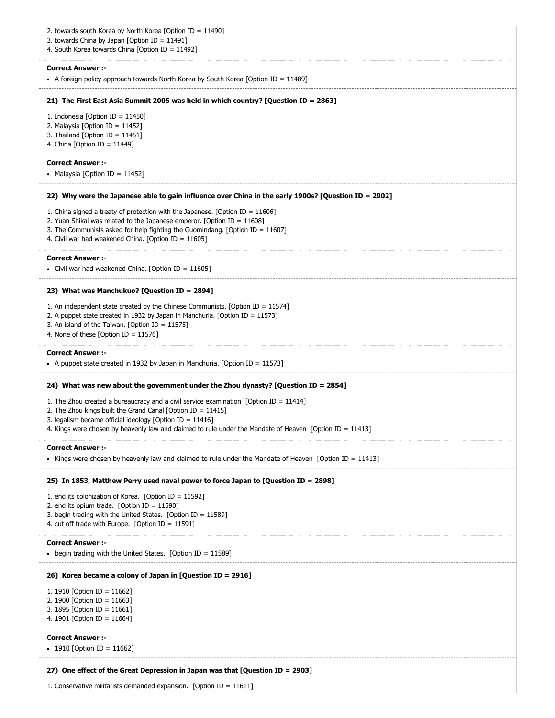| 2. towards south Korea by North Korea [Option ID = 11490]<br>3. towards China by Japan [Option ID = 11491]<br>4. South Korea towards China [Option ID = 11492]                                                                                                                                                                        |
|---------------------------------------------------------------------------------------------------------------------------------------------------------------------------------------------------------------------------------------------------------------------------------------------------------------------------------------|
| <b>Correct Answer :-</b><br>• A foreign policy approach towards North Korea by South Korea [Option ID = $11489$ ]                                                                                                                                                                                                                     |
| 21) The First East Asia Summit 2005 was held in which country? [Question ID = 2863]                                                                                                                                                                                                                                                   |
| 1. Indonesia [Option ID = $11450$ ]<br>2. Malaysia [Option ID = 11452]<br>3. Thailand [Option ID = $11451$ ]<br>4. China [Option ID = 11449]                                                                                                                                                                                          |
| <b>Correct Answer :-</b><br>• Malaysia [Option ID = 11452]                                                                                                                                                                                                                                                                            |
| 22) Why were the Japanese able to gain influence over China in the early 1900s? [Question ID = 2902]                                                                                                                                                                                                                                  |
| 1. China signed a treaty of protection with the Japanese. [Option ID = $11606$ ]<br>2. Yuan Shikai was related to the Japanese emperor. [Option ID = $11608$ ]<br>3. The Communists asked for help fighting the Guomindang. [Option ID = 11607]<br>4. Civil war had weakened China. [Option ID = 11605]                               |
| <b>Correct Answer :-</b><br>• Civil war had weakened China. [Option ID = 11605]                                                                                                                                                                                                                                                       |
| 23) What was Manchukuo? [Question ID = 2894]                                                                                                                                                                                                                                                                                          |
| 1. An independent state created by the Chinese Communists. [Option ID = $11574$ ]<br>2. A puppet state created in 1932 by Japan in Manchuria. [Option ID = 11573]<br>3. An island of the Taiwan. [Option ID = 11575]<br>4. None of these [Option ID = $11576$ ]                                                                       |
| <b>Correct Answer:-</b><br>• A puppet state created in 1932 by Japan in Manchuria. [Option ID = 11573]                                                                                                                                                                                                                                |
| 24) What was new about the government under the Zhou dynasty? [Question ID = 2854]                                                                                                                                                                                                                                                    |
| 1. The Zhou created a bureaucracy and a civil service examination [Option ID = $11414$ ]<br>2. The Zhou kings built the Grand Canal [Option ID = $11415$ ]<br>3. legalism became official ideology [Option ID = $11416$ ]<br>4. Kings were chosen by heavenly law and claimed to rule under the Mandate of Heaven [Option ID = 11413] |
| <b>Correct Answer :-</b><br>• Kings were chosen by heavenly law and claimed to rule under the Mandate of Heaven [Option ID = 11413]                                                                                                                                                                                                   |
| 25) In 1853, Matthew Perry used naval power to force Japan to [Question ID = 2898]                                                                                                                                                                                                                                                    |
| 1. end its colonization of Korea. [Option ID = $11592$ ]<br>2. end its opium trade. [Option ID = $11590$ ]<br>3. begin trading with the United States. [Option ID = $11589$ ]<br>4. cut off trade with Europe. [Option ID = $11591$ ]                                                                                                 |
| <b>Correct Answer:-</b><br>• begin trading with the United States. [Option ID = 11589]                                                                                                                                                                                                                                                |
| 26) Korea became a colony of Japan in [Question ID = 2916]<br>1. 1910 [Option ID = 11662]<br>2. 1900 [Option ID = 11663]<br>3. 1895 [Option ID = 11661]<br>4. 1901 [Option ID = 11664]                                                                                                                                                |
| <b>Correct Answer :-</b><br>• 1910 [Option ID = 11662]                                                                                                                                                                                                                                                                                |
| 27) One effect of the Great Depression in Japan was that [Question ID = 2903]                                                                                                                                                                                                                                                         |
| 1. Conservative militarists demanded expansion. [Option ID = $11611$ ]                                                                                                                                                                                                                                                                |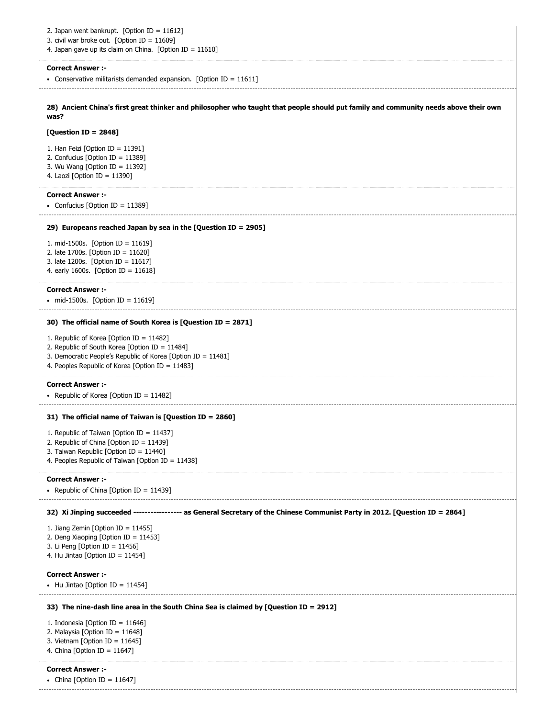| 2. Japan went bankrupt. [Option ID = $11612$ ]<br>3. civil war broke out. [Option ID = $11609$ ]<br>4. Japan gave up its claim on China. [Option ID = $11610$ ]                                                |
|----------------------------------------------------------------------------------------------------------------------------------------------------------------------------------------------------------------|
| <b>Correct Answer :-</b><br>• Conservative militarists demanded expansion. [Option ID = $11611$ ]                                                                                                              |
| 28) Ancient China's first great thinker and philosopher who taught that people should put family and community needs above their own<br>was?                                                                   |
| [Question ID = $2848$ ]                                                                                                                                                                                        |
| 1. Han Feizi [Option ID = $11391$ ]<br>2. Confucius [Option ID = 11389]<br>3. Wu Wang [Option ID = $11392$ ]<br>4. Laozi [Option ID = 11390]                                                                   |
| <b>Correct Answer :-</b><br>• Confucius [Option ID = $11389$ ]                                                                                                                                                 |
| 29) Europeans reached Japan by sea in the [Question ID = 2905]                                                                                                                                                 |
| 1. mid-1500s. [Option ID = 11619]<br>2. late 1700s. [Option ID = 11620]<br>3. late 1200s. [Option ID = 11617]<br>4. early 1600s. [Option ID = $11618$ ]                                                        |
| <b>Correct Answer :-</b><br>• mid-1500s. [Option ID = 11619]                                                                                                                                                   |
| 30) The official name of South Korea is [Question ID = 2871]                                                                                                                                                   |
| 1. Republic of Korea [Option ID = 11482]<br>2. Republic of South Korea [Option ID = 11484]<br>3. Democratic People's Republic of Korea [Option ID = 11481]<br>4. Peoples Republic of Korea [Option ID = 11483] |
| <b>Correct Answer:-</b><br>• Republic of Korea [Option ID = 11482]                                                                                                                                             |
| 31) The official name of Taiwan is [Question ID = 2860]                                                                                                                                                        |
| 1. Republic of Taiwan [Option ID = 11437]<br>2. Republic of China [Option ID = 11439]<br>3. Taiwan Republic [Option ID = 11440]<br>4. Peoples Republic of Taiwan [Option ID = 11438]                           |
| <b>Correct Answer :-</b><br>• Republic of China [Option ID = 11439]                                                                                                                                            |
| 32) Xi Jinping succeeded ---------------- as General Secretary of the Chinese Communist Party in 2012. [Question ID = 2864]                                                                                    |
| 1. Jiang Zemin [Option ID = $11455$ ]<br>2. Deng Xiaoping [Option ID = 11453]<br>3. Li Peng [Option ID = $11456$ ]<br>4. Hu Jintao [Option ID = $11454$ ]                                                      |
| <b>Correct Answer :-</b><br>• Hu Jintao [Option ID = 11454]                                                                                                                                                    |
| 33) The nine-dash line area in the South China Sea is claimed by [Question ID = 2912]                                                                                                                          |
| 1. Indonesia [Option ID = $11646$ ]<br>2. Malaysia [Option ID = 11648]<br>3. Vietnam [Option ID = $11645$ ]<br>4. China [Option ID = $11647$ ]                                                                 |
| <b>Correct Answer :-</b><br>• China [Option ID = 11647]                                                                                                                                                        |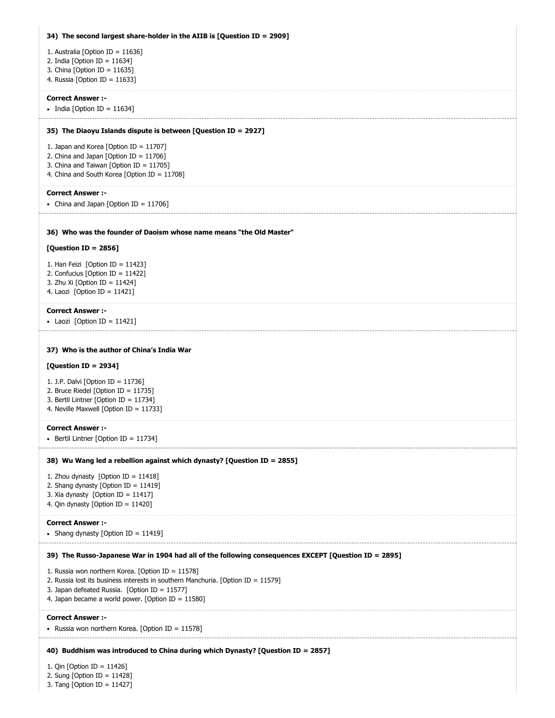| 34) The second largest share-holder in the AIIB is [Question ID = 2909]                                                           |
|-----------------------------------------------------------------------------------------------------------------------------------|
| 1. Australia [Option ID = 11636]                                                                                                  |
| 2. India [Option ID = $11634$ ]<br>3. China [Option ID = $11635$ ]                                                                |
| 4. Russia [Option ID = 11633]                                                                                                     |
| <b>Correct Answer :-</b>                                                                                                          |
| • India [Option ID = 11634]                                                                                                       |
| 35) The Diaoyu Islands dispute is between [Question ID = 2927]                                                                    |
| 1. Japan and Korea [Option ID = 11707]<br>2. China and Japan [Option ID = $11706$ ]                                               |
| 3. China and Taiwan [Option ID = 11705]                                                                                           |
| 4. China and South Korea [Option ID = 11708]                                                                                      |
| <b>Correct Answer :-</b><br>• China and Japan [Option ID = 11706]                                                                 |
|                                                                                                                                   |
| 36) Who was the founder of Daoism whose name means "the Old Master"                                                               |
| [Question ID = $2856$ ]                                                                                                           |
| 1. Han Feizi [Option ID = $11423$ ]                                                                                               |
| 2. Confucius [Option ID = 11422]<br>3. Zhu Xi [Option ID = 11424]                                                                 |
| 4. Laozi [Option ID = $11421$ ]                                                                                                   |
| <b>Correct Answer :-</b>                                                                                                          |
| • Laozi [Option ID = 11421]                                                                                                       |
| 37) Who is the author of China's India War                                                                                        |
| [Question ID = 2934]                                                                                                              |
| 1. J.P. Dalvi [Option ID = 11736]<br>2. Bruce Riedel [Option ID = 11735]                                                          |
| 3. Bertil Lintner [Option ID = 11734]                                                                                             |
| 4. Neville Maxwell [Option ID = 11733]                                                                                            |
| <b>Correct Answer :-</b><br>• Bertil Lintner [Option ID = 11734]                                                                  |
|                                                                                                                                   |
| 38) Wu Wang led a rebellion against which dynasty? [Question ID = 2855]                                                           |
| 1. Zhou dynasty [Option ID = $11418$ ]<br>2. Shang dynasty [Option ID = 11419]                                                    |
| 3. Xia dynasty [Option ID = 11417]<br>4. Qin dynasty [Option ID = 11420]                                                          |
|                                                                                                                                   |
| <b>Correct Answer :-</b><br>• Shang dynasty [Option ID = 11419]                                                                   |
| 39) The Russo-Japanese War in 1904 had all of the following consequences EXCEPT [Question ID = 2895]                              |
| 1. Russia won northern Korea. [Option ID = 11578]                                                                                 |
| 2. Russia lost its business interests in southern Manchuria. [Option ID = 11579]<br>3. Japan defeated Russia. [Option ID = 11577] |
| 4. Japan became a world power. [Option ID = 11580]                                                                                |
| <b>Correct Answer:-</b>                                                                                                           |
| • Russia won northern Korea. [Option ID = 11578]                                                                                  |
| 40) Buddhism was introduced to China during which Dynasty? [Question ID = 2857]                                                   |
| 1. Qin [Option ID = 11426]<br>2. Sung [Option ID = $11428$ ]<br>3. Tang [Option ID = 11427]                                       |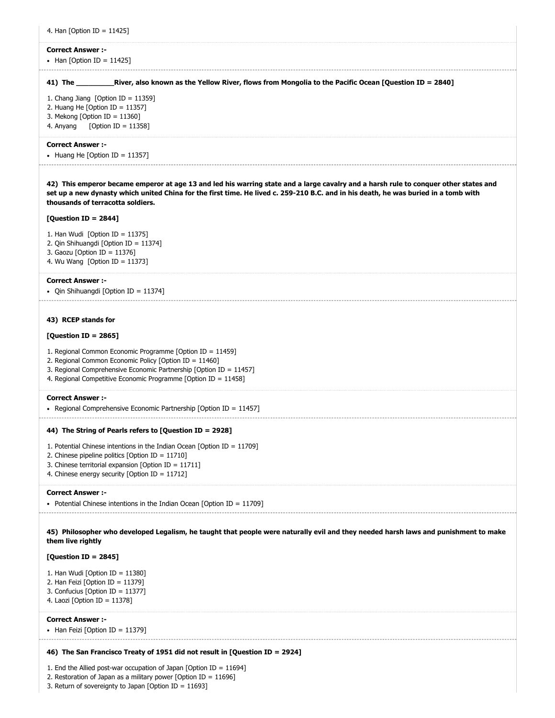| 4. Han [Option ID = 11425]                                                                                                                                                                                                                                                                                       |
|------------------------------------------------------------------------------------------------------------------------------------------------------------------------------------------------------------------------------------------------------------------------------------------------------------------|
| <b>Correct Answer:-</b>                                                                                                                                                                                                                                                                                          |
| • Han [Option ID = 11425]                                                                                                                                                                                                                                                                                        |
| 41) The ______________River, also known as the Yellow River, flows from Mongolia to the Pacific Ocean [Question ID = 2840]                                                                                                                                                                                       |
| 1. Chang Jiang [Option ID = $11359$ ]                                                                                                                                                                                                                                                                            |
| 2. Huang He [Option ID = $11357$ ]                                                                                                                                                                                                                                                                               |
| 3. Mekong [Option ID = $11360$ ]<br>4. Anyang<br>[Option ID = 11358]                                                                                                                                                                                                                                             |
|                                                                                                                                                                                                                                                                                                                  |
| <b>Correct Answer:-</b>                                                                                                                                                                                                                                                                                          |
| • Huang He [Option ID = 11357]                                                                                                                                                                                                                                                                                   |
| 42) This emperor became emperor at age 13 and led his warring state and a large cavalry and a harsh rule to conquer other states and<br>set up a new dynasty which united China for the first time. He lived c. 259-210 B.C. and in his death, he was buried in a tomb with<br>thousands of terracotta soldiers. |
| [Question ID = 2844]                                                                                                                                                                                                                                                                                             |
| 1. Han Wudi [Option ID = $11375$ ]                                                                                                                                                                                                                                                                               |
| 2. Qin Shihuangdi [Option ID = 11374]                                                                                                                                                                                                                                                                            |
| 3. Gaozu [Option ID = 11376]<br>4. Wu Wang [Option ID = $11373$ ]                                                                                                                                                                                                                                                |
|                                                                                                                                                                                                                                                                                                                  |
| <b>Correct Answer:-</b>                                                                                                                                                                                                                                                                                          |
| • Qin Shihuangdi [Option ID = 11374]                                                                                                                                                                                                                                                                             |
|                                                                                                                                                                                                                                                                                                                  |
| 43) RCEP stands for                                                                                                                                                                                                                                                                                              |
| [Question ID = $2865$ ]                                                                                                                                                                                                                                                                                          |
| 1. Regional Common Economic Programme [Option ID = 11459]                                                                                                                                                                                                                                                        |
| 2. Regional Common Economic Policy [Option ID = 11460]<br>3. Regional Comprehensive Economic Partnership [Option ID = 11457]                                                                                                                                                                                     |
| 4. Regional Competitive Economic Programme [Option ID = 11458]                                                                                                                                                                                                                                                   |
| <b>Correct Answer:-</b>                                                                                                                                                                                                                                                                                          |
| • Regional Comprehensive Economic Partnership [Option ID = $11457$ ]                                                                                                                                                                                                                                             |
|                                                                                                                                                                                                                                                                                                                  |
| 44) The String of Pearls refers to [Question ID = 2928]                                                                                                                                                                                                                                                          |
| 1. Potential Chinese intentions in the Indian Ocean [Option ID = $11709$ ]                                                                                                                                                                                                                                       |
| 2. Chinese pipeline politics [Option ID = 11710]<br>3. Chinese territorial expansion [Option ID = $11711$ ]                                                                                                                                                                                                      |
| 4. Chinese energy security [Option ID = 11712]                                                                                                                                                                                                                                                                   |
| <b>Correct Answer :-</b>                                                                                                                                                                                                                                                                                         |
| • Potential Chinese intentions in the Indian Ocean [Option ID = $11709$ ]                                                                                                                                                                                                                                        |
|                                                                                                                                                                                                                                                                                                                  |
| 45) Philosopher who developed Legalism, he taught that people were naturally evil and they needed harsh laws and punishment to make<br>them live rightly                                                                                                                                                         |
| [Question ID = $2845$ ]                                                                                                                                                                                                                                                                                          |
| 1. Han Wudi [Option ID = $11380$ ]                                                                                                                                                                                                                                                                               |
| 2. Han Feizi [Option ID = 11379]                                                                                                                                                                                                                                                                                 |
| 3. Confucius [Option ID = 11377]<br>4. Laozi [Option ID = $11378$ ]                                                                                                                                                                                                                                              |
|                                                                                                                                                                                                                                                                                                                  |
| <b>Correct Answer :-</b>                                                                                                                                                                                                                                                                                         |
| • Han Feizi [Option ID = 11379]                                                                                                                                                                                                                                                                                  |
| 46) The San Francisco Treaty of 1951 did not result in [Question ID = 2924]                                                                                                                                                                                                                                      |

1. End the Allied post-war occupation of Japan [Option ID =  $11694$ ]

2. Restoration of Japan as a military power  $[Option ID = 11696]$ 3. Return of sovereignty to Japan [Option ID = 11693]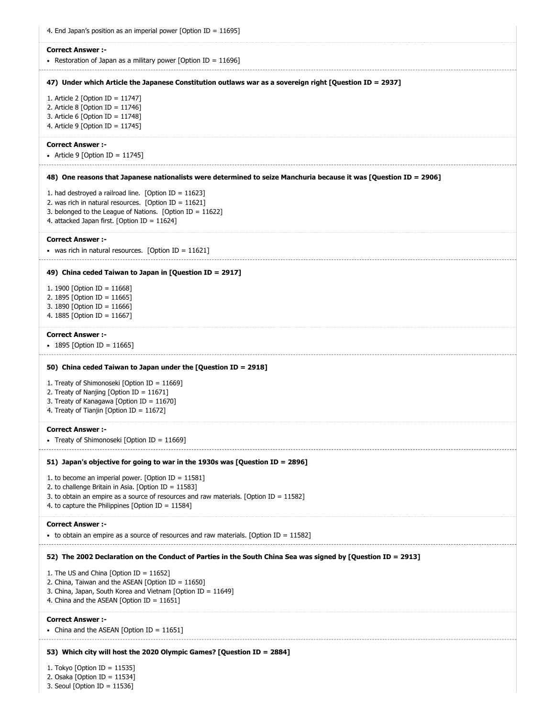| 4. End Japan's position as an imperial power [Option ID = $11695$ ]                                                                                                                                                                                                 |
|---------------------------------------------------------------------------------------------------------------------------------------------------------------------------------------------------------------------------------------------------------------------|
| <b>Correct Answer:-</b><br>• Restoration of Japan as a military power [Option ID = $11696$ ]                                                                                                                                                                        |
| 47) Under which Article the Japanese Constitution outlaws war as a sovereign right [Question ID = 2937]                                                                                                                                                             |
| 1. Article 2 [Option ID = 11747]<br>2. Article 8 [Option ID = $11746$ ]<br>3. Article 6 [Option ID = $11748$ ]<br>4. Article 9 [Option ID = $11745$ ]                                                                                                               |
| <b>Correct Answer:-</b><br>• Article 9 [Option ID = 11745]                                                                                                                                                                                                          |
| 48) One reasons that Japanese nationalists were determined to seize Manchuria because it was [Question ID = 2906]                                                                                                                                                   |
| 1. had destroyed a railroad line. [Option ID = $11623$ ]<br>2. was rich in natural resources. [Option ID = $11621$ ]<br>3. belonged to the League of Nations. [Option ID = $11622$ ]<br>4. attacked Japan first. [Option ID = 11624]                                |
| <b>Correct Answer:-</b><br>• was rich in natural resources. [Option ID = 11621]                                                                                                                                                                                     |
| 49) China ceded Taiwan to Japan in [Question ID = 2917]                                                                                                                                                                                                             |
| 1. 1900 [Option ID = 11668]<br>2. 1895 [Option ID = 11665]<br>3. 1890 [Option ID = 11666]<br>4. 1885 [Option ID = 11667]                                                                                                                                            |
| <b>Correct Answer:-</b><br>• 1895 [Option ID = 11665]                                                                                                                                                                                                               |
| 50) China ceded Taiwan to Japan under the [Question ID = 2918]<br>1. Treaty of Shimonoseki [Option ID = $11669$ ]<br>2. Treaty of Nanjing [Option ID = 11671]<br>3. Treaty of Kanagawa [Option ID = 11670]<br>4. Treaty of Tianjin [Option ID = 11672]              |
| <b>Correct Answer :-</b><br>• Treaty of Shimonoseki [Option ID = 11669]                                                                                                                                                                                             |
| 51) Japan's objective for going to war in the 1930s was [Question ID = 2896]                                                                                                                                                                                        |
| 1. to become an imperial power. [Option ID = $11581$ ]<br>2. to challenge Britain in Asia. [Option ID = 11583]<br>3. to obtain an empire as a source of resources and raw materials. [Option ID = $11582$ ]<br>4. to capture the Philippines [Option ID = $11584$ ] |
| <b>Correct Answer :-</b><br>• to obtain an empire as a source of resources and raw materials. [Option ID = $11582$ ]                                                                                                                                                |
| 52) The 2002 Declaration on the Conduct of Parties in the South China Sea was signed by [Question ID = 2913]                                                                                                                                                        |
| 1. The US and China [Option ID = $11652$ ]<br>2. China, Taiwan and the ASEAN [Option ID = $11650$ ]<br>3. China, Japan, South Korea and Vietnam [Option ID = 11649]<br>4. China and the ASEAN [Option ID = $11651$ ]                                                |
| <b>Correct Answer :-</b><br>• China and the ASEAN [Option ID = 11651]                                                                                                                                                                                               |
| 53) Which city will host the 2020 Olympic Games? [Question ID = 2884]                                                                                                                                                                                               |
| 1. Tokyo [Option ID = 11535]<br>2. Osaka [Option ID = $11534$ ]<br>3. Seoul [Option ID = $11536$ ]                                                                                                                                                                  |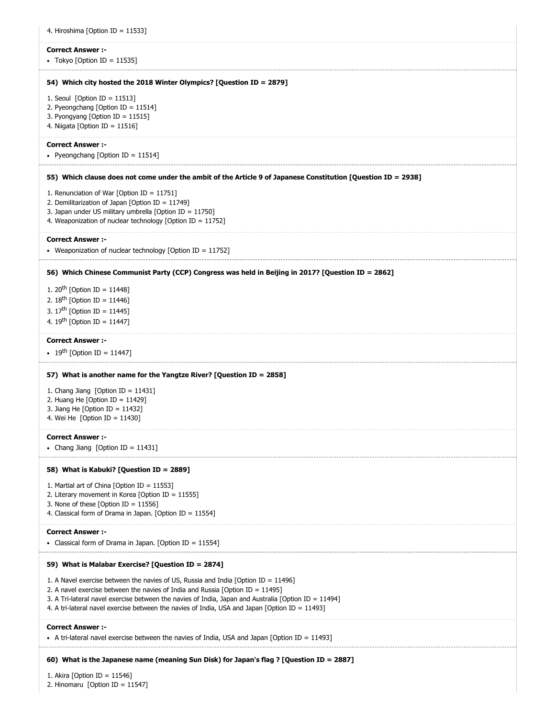| 4. Hiroshima [Option ID = 11533]                                                                                                                                                                                                                                                                                                                                                  |
|-----------------------------------------------------------------------------------------------------------------------------------------------------------------------------------------------------------------------------------------------------------------------------------------------------------------------------------------------------------------------------------|
| <b>Correct Answer :-</b><br>• Tokyo [Option ID = 11535]                                                                                                                                                                                                                                                                                                                           |
| 54) Which city hosted the 2018 Winter Olympics? [Question ID = 2879]                                                                                                                                                                                                                                                                                                              |
| 1. Seoul [Option ID = $11513$ ]<br>2. Pyeongchang [Option ID = $11514$ ]<br>3. Pyongyang [Option ID = 11515]<br>4. Niigata [Option ID = 11516]                                                                                                                                                                                                                                    |
| <b>Correct Answer:-</b><br>• Pyeongchang [Option ID = 11514]                                                                                                                                                                                                                                                                                                                      |
| 55) Which clause does not come under the ambit of the Article 9 of Japanese Constitution [Question ID = 2938]                                                                                                                                                                                                                                                                     |
| 1. Renunciation of War [Option ID = 11751]<br>2. Demilitarization of Japan [Option ID = $11749$ ]<br>3. Japan under US military umbrella [Option ID = 11750]<br>4. Weaponization of nuclear technology [Option ID = 11752]                                                                                                                                                        |
| <b>Correct Answer:-</b><br>• Weaponization of nuclear technology [Option ID = 11752]                                                                                                                                                                                                                                                                                              |
| 56) Which Chinese Communist Party (CCP) Congress was held in Beijing in 2017? [Question ID = 2862]                                                                                                                                                                                                                                                                                |
| 1. 20 <sup>th</sup> [Option ID = 11448]<br>2. $18^{th}$ [Option ID = 11446]<br>3. $17^{th}$ [Option ID = 11445]<br>4. $19^{th}$ [Option ID = 11447]                                                                                                                                                                                                                               |
| <b>Correct Answer:-</b><br>• 19 <sup>th</sup> [Option ID = 11447]                                                                                                                                                                                                                                                                                                                 |
| 57) What is another name for the Yangtze River? [Question ID = 2858]                                                                                                                                                                                                                                                                                                              |
| 1. Chang Jiang [Option ID = $11431$ ]<br>2. Huang He [Option ID = $11429$ ]<br>3. Jiang He [Option ID = $11432$ ]<br>4. Wei He [Option ID = $11430$ ]                                                                                                                                                                                                                             |
| <b>Correct Answer :-</b><br>• Chang Jiang [Option ID = 11431]                                                                                                                                                                                                                                                                                                                     |
| 58) What is Kabuki? [Question ID = 2889]                                                                                                                                                                                                                                                                                                                                          |
| 1. Martial art of China [Option ID = 11553]<br>2. Literary movement in Korea [Option ID = 11555]<br>3. None of these [Option ID = $11556$ ]<br>4. Classical form of Drama in Japan. [Option ID = 11554]                                                                                                                                                                           |
| <b>Correct Answer:-</b><br>• Classical form of Drama in Japan. [Option ID = 11554]                                                                                                                                                                                                                                                                                                |
| 59) What is Malabar Exercise? [Question ID = 2874]                                                                                                                                                                                                                                                                                                                                |
| 1. A Navel exercise between the navies of US, Russia and India [Option ID = 11496]<br>2. A navel exercise between the navies of India and Russia [Option ID = $11495$ ]<br>3. A Tri-lateral navel exercise between the navies of India, Japan and Australia [Option ID = 11494]<br>4. A tri-lateral navel exercise between the navies of India, USA and Japan [Option ID = 11493] |
| <b>Correct Answer:-</b><br>• A tri-lateral navel exercise between the navies of India, USA and Japan [Option ID = 11493]                                                                                                                                                                                                                                                          |
| 60) What is the Japanese name (meaning Sun Disk) for Japan's flag ? [Question ID = 2887]                                                                                                                                                                                                                                                                                          |
| 1. Akira [Option ID = $11546$ ]<br>2. Hinomaru [Option ID = 11547]                                                                                                                                                                                                                                                                                                                |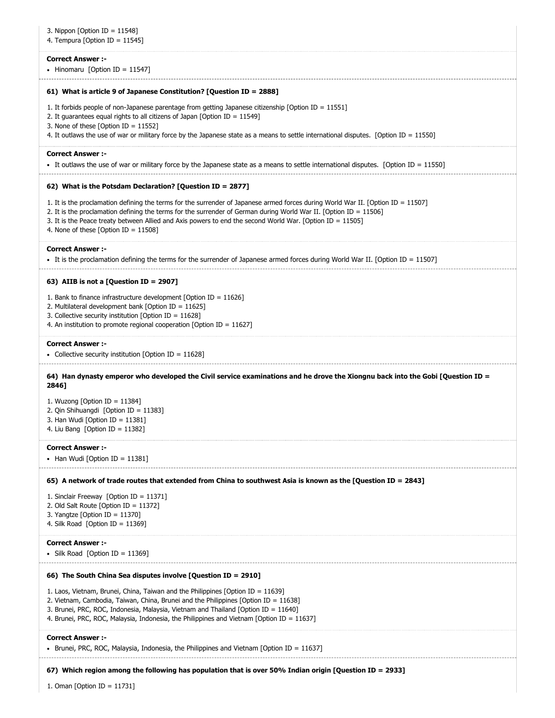| 3. Nippon [Option ID = 11548]<br>4. Tempura [Option ID = $11545$ ]                                                                                                                                                                                                                                                                                                                                              |
|-----------------------------------------------------------------------------------------------------------------------------------------------------------------------------------------------------------------------------------------------------------------------------------------------------------------------------------------------------------------------------------------------------------------|
| <b>Correct Answer :-</b><br>• Hinomaru [Option ID = 11547]                                                                                                                                                                                                                                                                                                                                                      |
| 61) What is article 9 of Japanese Constitution? [Question ID = 2888]                                                                                                                                                                                                                                                                                                                                            |
| 1. It forbids people of non-Japanese parentage from getting Japanese citizenship [Option ID = $11551$ ]<br>2. It guarantees equal rights to all citizens of Japan [Option ID = $11549$ ]<br>3. None of these [Option ID = $11552$ ]<br>4. It outlaws the use of war or military force by the Japanese state as a means to settle international disputes. [Option ID = 11550]                                    |
| <b>Correct Answer :-</b><br>• It outlaws the use of war or military force by the Japanese state as a means to settle international disputes. [Option ID = 11550]                                                                                                                                                                                                                                                |
| 62) What is the Potsdam Declaration? [Question ID = 2877]                                                                                                                                                                                                                                                                                                                                                       |
| 1. It is the proclamation defining the terms for the surrender of Japanese armed forces during World War II. [Option ID = 11507]<br>2. It is the proclamation defining the terms for the surrender of German during World War II. [Option ID = 11506]<br>3. It is the Peace treaty between Allied and Axis powers to end the second World War. [Option ID = $11505$ ]<br>4. None of these $[Option ID = 11508]$ |
| <b>Correct Answer :-</b><br>It is the proclamation defining the terms for the surrender of Japanese armed forces during World War II. [Option ID = 11507]                                                                                                                                                                                                                                                       |
| 63) AIIB is not a [Question ID = 2907]                                                                                                                                                                                                                                                                                                                                                                          |
| 1. Bank to finance infrastructure development [Option ID = $11626$ ]<br>2. Multilateral development bank [Option ID = $11625$ ]<br>3. Collective security institution [Option ID = 11628]<br>4. An institution to promote regional cooperation [Option ID = $11627$ ]                                                                                                                                           |
| <b>Correct Answer :-</b><br>• Collective security institution [Option ID = 11628]                                                                                                                                                                                                                                                                                                                               |
| 64) Han dynasty emperor who developed the Civil service examinations and he drove the Xiongnu back into the Gobi [Question ID =<br>2846]                                                                                                                                                                                                                                                                        |
| 1. Wuzong [Option ID = 11384]<br>2. Qin Shihuangdi [Option ID = 11383]<br>3. Han Wudi [Option ID = $11381$ ]<br>4. Liu Bang [Option ID = 11382]                                                                                                                                                                                                                                                                 |
| <b>Correct Answer :-</b><br>• Han Wudi [Option ID = 11381]                                                                                                                                                                                                                                                                                                                                                      |
| 65) A network of trade routes that extended from China to southwest Asia is known as the [Question ID = 2843]                                                                                                                                                                                                                                                                                                   |
| 1. Sinclair Freeway [Option ID = $11371$ ]<br>2. Old Salt Route [Option ID = $11372$ ]<br>3. Yangtze [Option ID = $11370$ ]<br>4. Silk Road [Option ID = $11369$ ]                                                                                                                                                                                                                                              |
| <b>Correct Answer :-</b><br>• Silk Road [Option ID = 11369]                                                                                                                                                                                                                                                                                                                                                     |
| 66) The South China Sea disputes involve [Question ID = 2910]                                                                                                                                                                                                                                                                                                                                                   |
| 1. Laos, Vietnam, Brunei, China, Taiwan and the Philippines [Option ID = $11639$ ]<br>2. Vietnam, Cambodia, Taiwan, China, Brunei and the Philippines [Option ID = 11638]<br>3. Brunei, PRC, ROC, Indonesia, Malaysia, Vietnam and Thailand [Option ID = 11640]<br>4. Brunei, PRC, ROC, Malaysia, Indonesia, the Philippines and Vietnam [Option ID = 11637]                                                    |
| <b>Correct Answer :-</b><br>• Brunei, PRC, ROC, Malaysia, Indonesia, the Philippines and Vietnam [Option ID = 11637]                                                                                                                                                                                                                                                                                            |
| 67) Which region among the following has population that is over 50% Indian origin [Question ID = 2933]                                                                                                                                                                                                                                                                                                         |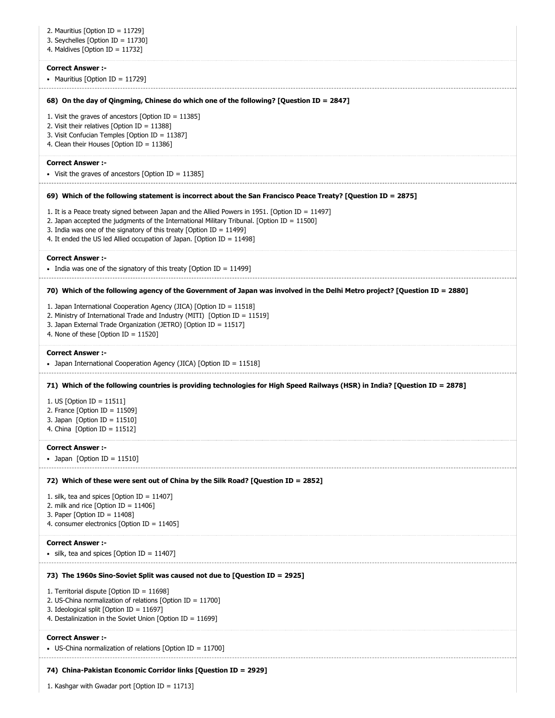| 2. Mauritius [Option ID = 11729]<br>3. Seychelles [Option ID = $11730$ ]<br>4. Maldives [Option ID = $11732$ ]                                                                                                                                                                                                                                      |
|-----------------------------------------------------------------------------------------------------------------------------------------------------------------------------------------------------------------------------------------------------------------------------------------------------------------------------------------------------|
| <b>Correct Answer :-</b><br>• Mauritius [Option ID = 11729]                                                                                                                                                                                                                                                                                         |
| 68) On the day of Qingming, Chinese do which one of the following? [Question ID = 2847]                                                                                                                                                                                                                                                             |
| 1. Visit the graves of ancestors [Option ID = $11385$ ]<br>2. Visit their relatives [Option ID = $11388$ ]<br>3. Visit Confucian Temples [Option ID = 11387]<br>4. Clean their Houses [Option ID = $11386$ ]                                                                                                                                        |
| <b>Correct Answer :-</b><br>• Visit the graves of ancestors [Option ID = $11385$ ]                                                                                                                                                                                                                                                                  |
| 69) Which of the following statement is incorrect about the San Francisco Peace Treaty? [Question ID = 2875]                                                                                                                                                                                                                                        |
| 1. It is a Peace treaty signed between Japan and the Allied Powers in 1951. [Option ID = 11497]<br>2. Japan accepted the judgments of the International Military Tribunal. [Option ID = 11500]<br>3. India was one of the signatory of this treaty [Option ID = $11499$ ]<br>4. It ended the US led Allied occupation of Japan. [Option ID = 11498] |
| <b>Correct Answer :-</b><br>• India was one of the signatory of this treaty [Option ID = 11499]                                                                                                                                                                                                                                                     |
| 70) Which of the following agency of the Government of Japan was involved in the Delhi Metro project? [Question ID = 2880]                                                                                                                                                                                                                          |
| 1. Japan International Cooperation Agency (JICA) [Option ID = 11518]<br>2. Ministry of International Trade and Industry (MITI) [Option ID = 11519]<br>3. Japan External Trade Organization (JETRO) [Option ID = 11517]<br>4. None of these [Option ID = 11520]                                                                                      |
| <b>Correct Answer :-</b><br>• Japan International Cooperation Agency (JICA) [Option ID = 11518]                                                                                                                                                                                                                                                     |
| 71) Which of the following countries is providing technologies for High Speed Railways (HSR) in India? [Question ID = 2878]                                                                                                                                                                                                                         |
| 1. US [Option ID = $11511$ ]<br>2. France [Option ID = $11509$ ]<br>3. Japan [Option ID = $11510$ ]<br>4. China [Option ID = $11512$ ]                                                                                                                                                                                                              |
| <b>Correct Answer :-</b><br>• Japan [Option ID = $11510$ ]                                                                                                                                                                                                                                                                                          |
| 72) Which of these were sent out of China by the Silk Road? [Question ID = 2852]                                                                                                                                                                                                                                                                    |
| 1. silk, tea and spices [Option ID = $11407$ ]<br>2. milk and rice [Option ID = $11406$ ]<br>3. Paper [Option ID = $11408$ ]<br>4. consumer electronics [Option ID = $11405$ ]                                                                                                                                                                      |
| <b>Correct Answer :-</b><br>• silk, tea and spices [Option ID = 11407]                                                                                                                                                                                                                                                                              |
| 73) The 1960s Sino-Soviet Split was caused not due to [Question ID = 2925]                                                                                                                                                                                                                                                                          |
| 1. Territorial dispute [Option ID = 11698]<br>2. US-China normalization of relations [Option ID = $11700$ ]<br>3. Ideological split [Option ID = 11697]<br>4. Destalinization in the Soviet Union [Option ID = 11699]                                                                                                                               |
| <b>Correct Answer :-</b><br>• US-China normalization of relations [Option ID = 11700]                                                                                                                                                                                                                                                               |
| 74) China-Pakistan Economic Corridor links [Question ID = 2929]                                                                                                                                                                                                                                                                                     |
| 1. Kashgar with Gwadar port [Option ID = 11713]                                                                                                                                                                                                                                                                                                     |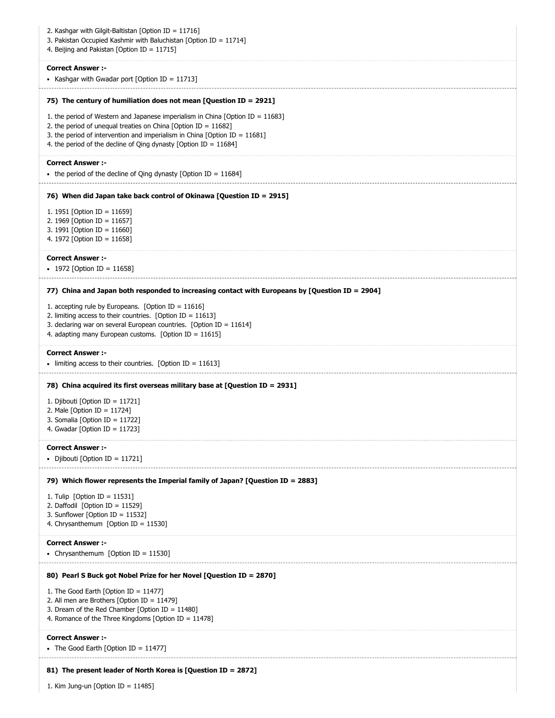| 2. Kashgar with Gilgit-Baltistan [Option ID = 11716]<br>3. Pakistan Occupied Kashmir with Baluchistan [Option ID = 11714]<br>4. Beijing and Pakistan [Option ID = 11715]                                                                                                                                       |
|----------------------------------------------------------------------------------------------------------------------------------------------------------------------------------------------------------------------------------------------------------------------------------------------------------------|
| <b>Correct Answer:-</b><br>• Kashgar with Gwadar port [Option ID = 11713]                                                                                                                                                                                                                                      |
| 75) The century of humiliation does not mean [Question ID = 2921]                                                                                                                                                                                                                                              |
| 1. the period of Western and Japanese imperialism in China [Option ID = $11683$ ]<br>2. the period of unequal treaties on China [Option ID = $11682$ ]<br>3. the period of intervention and imperialism in China [Option ID = $11681$ ]<br>4. the period of the decline of Qing dynasty [Option ID = $11684$ ] |
| <b>Correct Answer :-</b><br>• the period of the decline of Qing dynasty [Option ID = $11684$ ]                                                                                                                                                                                                                 |
| 76) When did Japan take back control of Okinawa [Question ID = 2915]                                                                                                                                                                                                                                           |
| 1. 1951 [Option ID = 11659]<br>2. 1969 [Option ID = 11657]<br>3. 1991 [Option ID = 11660]<br>4. 1972 [Option ID = 11658]                                                                                                                                                                                       |
| <b>Correct Answer:-</b><br>• 1972 [Option ID = 11658]                                                                                                                                                                                                                                                          |
| 77) China and Japan both responded to increasing contact with Europeans by [Question ID = 2904]                                                                                                                                                                                                                |
| 1. accepting rule by Europeans. [Option ID = $11616$ ]<br>2. limiting access to their countries. [Option ID = $11613$ ]<br>3. declaring war on several European countries. [Option ID = $11614$ ]<br>4. adapting many European customs. [Option ID = $11615$ ]                                                 |
| <b>Correct Answer :-</b><br>• limiting access to their countries. [Option ID = 11613]                                                                                                                                                                                                                          |
| 78) China acquired its first overseas military base at [Question ID = 2931]                                                                                                                                                                                                                                    |
| 1. Djibouti [Option ID = 11721]<br>2. Male [Option ID = $11724$ ]<br>3. Somalia [Option ID = 11722]<br>4. Gwadar [Option ID = 11723]                                                                                                                                                                           |
| <b>Correct Answer :-</b><br>• Djibouti [Option ID = 11721]                                                                                                                                                                                                                                                     |
| 79) Which flower represents the Imperial family of Japan? [Question ID = 2883]<br>1. Tulip [Option ID = $11531$ ]<br>2. Daffodil [Option ID = 11529]<br>3. Sunflower [Option ID = $11532$ ]<br>4. Chrysanthemum [Option ID = 11530]                                                                            |
| <b>Correct Answer:-</b><br>• Chrysanthemum [Option ID = 11530]                                                                                                                                                                                                                                                 |
| 80) Pearl S Buck got Nobel Prize for her Novel [Question ID = 2870]                                                                                                                                                                                                                                            |
| 1. The Good Earth [Option ID = $11477$ ]<br>2. All men are Brothers [Option ID = $11479$ ]<br>3. Dream of the Red Chamber [Option ID = 11480]<br>4. Romance of the Three Kingdoms [Option ID = 11478]                                                                                                          |
| <b>Correct Answer:-</b><br>• The Good Earth [Option ID = 11477]                                                                                                                                                                                                                                                |
| 81) The present leader of North Korea is [Question ID = 2872]                                                                                                                                                                                                                                                  |
| 1. Kim Jung-un [Option ID = $11485$ ]                                                                                                                                                                                                                                                                          |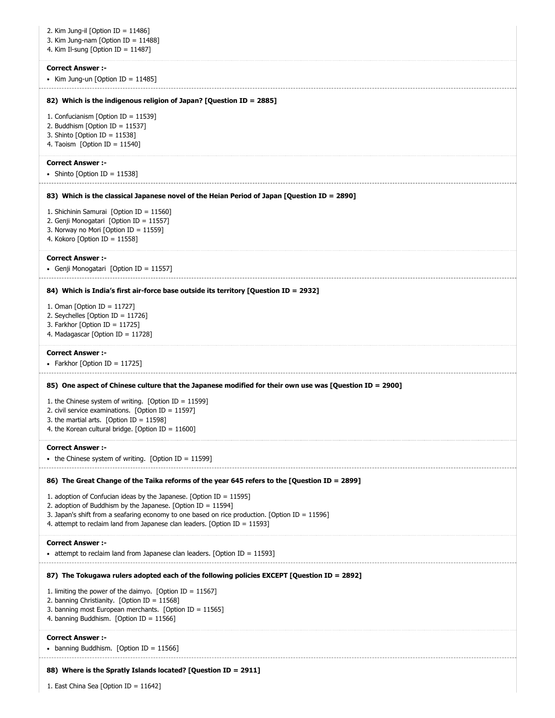| 2. Kim Jung-il [Option ID = $11486$ ]<br>3. Kim Jung-nam [Option ID = $11488$ ]<br>4. Kim Il-sung [Option ID = $11487$ ]                                                                                                                                                                                                     |
|------------------------------------------------------------------------------------------------------------------------------------------------------------------------------------------------------------------------------------------------------------------------------------------------------------------------------|
| <b>Correct Answer:-</b><br>• Kim Jung-un [Option ID = $11485$ ]                                                                                                                                                                                                                                                              |
| 82) Which is the indigenous religion of Japan? [Question ID = 2885]                                                                                                                                                                                                                                                          |
| 1. Confucianism [Option ID = 11539]<br>2. Buddhism [Option ID = 11537]<br>3. Shinto [Option ID = $11538$ ]<br>4. Taoism [Option ID = $11540$ ]                                                                                                                                                                               |
| <b>Correct Answer :-</b><br>• Shinto [Option ID = 11538]                                                                                                                                                                                                                                                                     |
| 83) Which is the classical Japanese novel of the Heian Period of Japan [Question ID = 2890]                                                                                                                                                                                                                                  |
| 1. Shichinin Samurai [Option ID = 11560]<br>2. Genji Monogatari [Option ID = 11557]<br>3. Norway no Mori [Option ID = 11559]<br>4. Kokoro [Option ID = 11558]                                                                                                                                                                |
| <b>Correct Answer :-</b><br>• Genji Monogatari [Option ID = 11557]                                                                                                                                                                                                                                                           |
| 84) Which is India's first air-force base outside its territory [Question ID = 2932]                                                                                                                                                                                                                                         |
| 1. Oman [Option ID = 11727]<br>2. Seychelles [Option ID = 11726]<br>3. Farkhor [Option ID = $11725$ ]<br>4. Madagascar [Option ID = 11728]                                                                                                                                                                                   |
| <b>Correct Answer :-</b><br>• Farkhor [Option ID = 11725]                                                                                                                                                                                                                                                                    |
| 85) One aspect of Chinese culture that the Japanese modified for their own use was [Question ID = 2900]                                                                                                                                                                                                                      |
| 1. the Chinese system of writing. [Option ID = $11599$ ]<br>2. civil service examinations. [Option ID = $11597$ ]<br>3. the martial arts. [Option ID = $11598$ ]<br>4. the Korean cultural bridge. [Option ID = $11600$ ]                                                                                                    |
| <b>Correct Answer:-</b><br>• the Chinese system of writing. [Option ID = $11599$ ]                                                                                                                                                                                                                                           |
| 86) The Great Change of the Taika reforms of the year 645 refers to the [Question ID = 2899]                                                                                                                                                                                                                                 |
| 1. adoption of Confucian ideas by the Japanese. [Option ID = $11595$ ]<br>2. adoption of Buddhism by the Japanese. [Option ID = $11594$ ]<br>3. Japan's shift from a seafaring economy to one based on rice production. [Option ID = $11596$ ]<br>4. attempt to reclaim land from Japanese clan leaders. [Option ID = 11593] |
| <b>Correct Answer:-</b><br>• attempt to reclaim land from Japanese clan leaders. [Option ID = 11593]                                                                                                                                                                                                                         |
| 87) The Tokugawa rulers adopted each of the following policies EXCEPT [Question ID = 2892]                                                                                                                                                                                                                                   |
| 1. limiting the power of the daimyo. [Option ID = $11567$ ]<br>2. banning Christianity. [Option ID = 11568]<br>3. banning most European merchants. [Option ID = 11565]<br>4. banning Buddhism. [Option ID = 11566]                                                                                                           |
| <b>Correct Answer:-</b><br>• banning Buddhism. [Option ID = 11566]                                                                                                                                                                                                                                                           |
| 88) Where is the Spratly Islands located? [Question ID = 2911]                                                                                                                                                                                                                                                               |
| 1. East China Sea [Option ID = 11642]                                                                                                                                                                                                                                                                                        |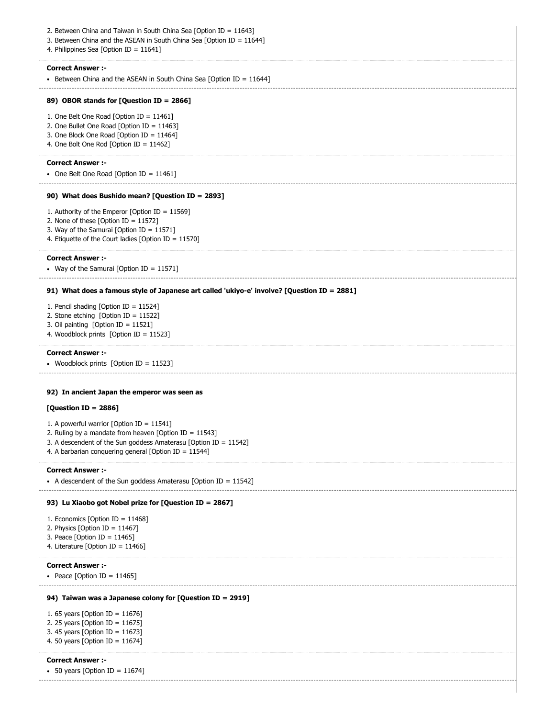| 2. Between China and Taiwan in South China Sea [Option ID = 11643]<br>3. Between China and the ASEAN in South China Sea [Option ID = $11644$ ]<br>4. Philippines Sea [Option ID = 11641]                                                              |
|-------------------------------------------------------------------------------------------------------------------------------------------------------------------------------------------------------------------------------------------------------|
| <b>Correct Answer :-</b><br>• Between China and the ASEAN in South China Sea [Option ID = 11644]                                                                                                                                                      |
| 89) OBOR stands for [Question ID = 2866]                                                                                                                                                                                                              |
| 1. One Belt One Road [Option ID = 11461]<br>2. One Bullet One Road [Option ID = $11463$ ]<br>3. One Block One Road [Option ID = 11464]<br>4. One Bolt One Rod [Option ID = 11462]                                                                     |
| <b>Correct Answer :-</b><br>• One Belt One Road [Option ID = 11461]                                                                                                                                                                                   |
| 90) What does Bushido mean? [Question ID = 2893]                                                                                                                                                                                                      |
| 1. Authority of the Emperor [Option ID = $11569$ ]<br>2. None of these [Option ID = $11572$ ]<br>3. Way of the Samurai [Option ID = 11571]<br>4. Etiquette of the Court ladies [Option ID = 11570]                                                    |
| <b>Correct Answer :-</b><br>• Way of the Samurai [Option ID = 11571]                                                                                                                                                                                  |
| 91) What does a famous style of Japanese art called 'ukiyo-e' involve? [Question ID = 2881]                                                                                                                                                           |
| 1. Pencil shading [Option ID = 11524]<br>2. Stone etching [Option ID = 11522]<br>3. Oil painting [Option ID = 11521]<br>4. Woodblock prints [Option ID = 11523]                                                                                       |
| <b>Correct Answer :-</b><br>• Woodblock prints [Option ID = 11523]                                                                                                                                                                                    |
| 92) In ancient Japan the emperor was seen as<br>[Question ID = 2886]<br>1. A powerful warrior [Option ID = $11541$ ]<br>2. Ruling by a mandate from heaven [Option ID = $11543$ ]<br>3. A descendent of the Sun goddess Amaterasu [Option ID = 11542] |
| 4. A barbarian conquering general [Option ID = $11544$ ]                                                                                                                                                                                              |
| <b>Correct Answer :-</b><br>• A descendent of the Sun goddess Amaterasu [Option ID = $11542$ ]                                                                                                                                                        |
| 93) Lu Xiaobo got Nobel prize for [Question ID = 2867]<br>1. Economics [Option ID = 11468]<br>2. Physics [Option ID = $11467$ ]<br>3. Peace [Option ID = $11465$ ]<br>4. Literature [Option ID = $11466$ ]                                            |
| <b>Correct Answer :-</b><br>• Peace [Option ID = 11465]                                                                                                                                                                                               |
| 94) Taiwan was a Japanese colony for [Question ID = 2919]                                                                                                                                                                                             |
| 1. 65 years [Option ID = $11676$ ]<br>2. 25 years [Option ID = $11675$ ]<br>3. 45 years [Option ID = $11673$ ]<br>4. 50 years [Option ID = $11674$ ]                                                                                                  |
| <b>Correct Answer :-</b><br>• 50 years [Option ID = 11674]                                                                                                                                                                                            |